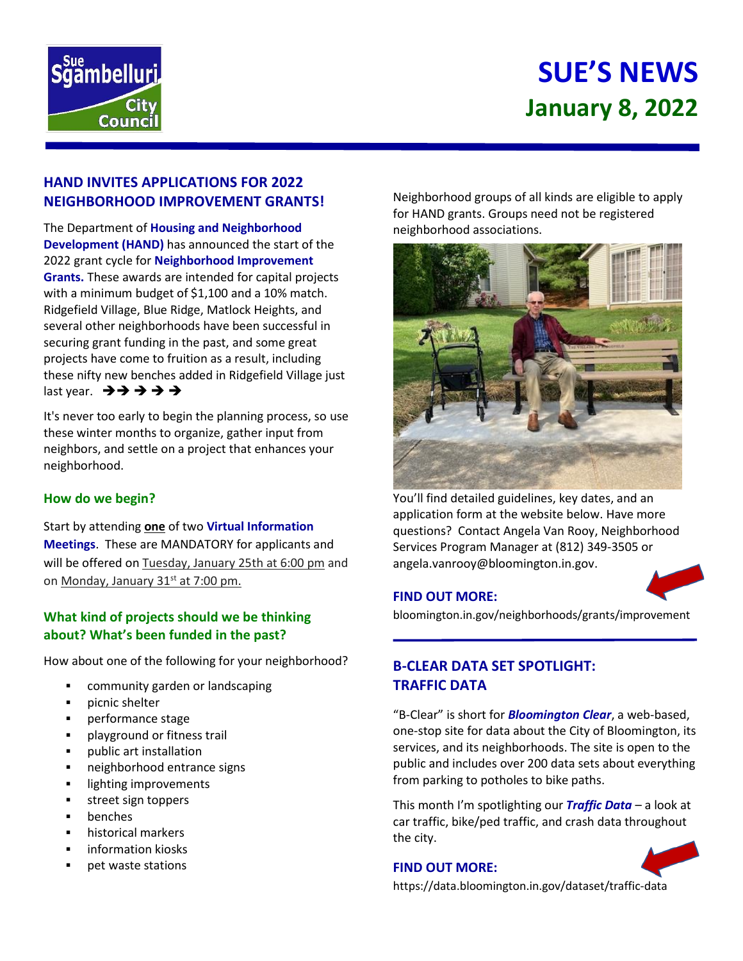

# **SUE'S NEWS January 8, 2022**

## **HAND INVITES APPLICATIONS FOR 2022 NEIGHBORHOOD IMPROVEMENT GRANTS!**

The Department of **Housing and Neighborhood Development (HAND)** has announced the start of the 2022 grant cycle for **[Neighborhood Improvement](https://bloomington.in.gov/neighborhoods/grants/improvement)  [Grants](https://bloomington.in.gov/neighborhoods/grants/improvement).** These awards are intended for capital projects with a minimum budget of \$1,100 and a 10% match. Ridgefield Village, Blue Ridge, Matlock Heights, and several other neighborhoods have been successful in securing grant funding in the past, and some great projects have come to fruition as a result, including these nifty new benches added in Ridgefield Village just last year. ➔➔ ➔ ➔ ➔

It's never too early to begin the planning process, so use these winter months to organize, gather input from neighbors, and settle on a project that enhances your neighborhood.

#### **How do we begin?**

Start by attending **one** of two **Virtual Information Meetings**. These are MANDATORY for applicants and will be offered on Tuesday, January 25th at 6:00 pm and on Monday, January 31<sup>st</sup> at 7:00 pm.

## **What kind of projects should we be thinking about? What's been funded in the past?**

How about one of the following for your neighborhood?

- community garden or landscaping
- picnic shelter
- performance stage
- playground or fitness trail
- public art installation
- neighborhood entrance signs
- lighting improvements
- street sign toppers
- benches
- historical markers
- information kiosks
- pet waste stations

Neighborhood groups of all kinds are eligible to apply for HAND grants. Groups need not be registered neighborhood associations.



You'll find detailed guidelines, key dates, and an application form at the website below. Have more questions? Contact Angela Van Rooy, Neighborhood Services Program Manager at (812) 349-3505 or angela.vanrooy@bloomington.in.gov.

#### **FIND OUT MORE:**

bloomington.in.gov/neighborhoods/grants/improvement

# **B-CLEAR DATA SET SPOTLIGHT: TRAFFIC DATA**

"B-Clear" is short for *Bloomington Clear*, a web-based, one-stop site for data about the City of Bloomington, its services, and its neighborhoods. The site is open to the public and includes over 200 data sets about everything from parking to potholes to bike paths.

This month I'm spotlighting our *Traffic Data* – a look at car traffic, bike/ped traffic, and crash data throughout the city.

#### **FIND OUT MORE:**



https://data.bloomington.in.gov/dataset/traffic-data